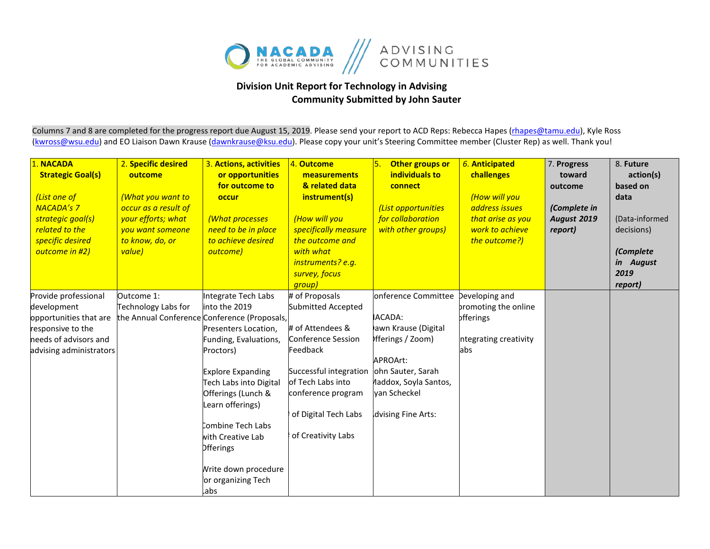

## **Division Unit Report for Technology in Advising Community Submitted by John Sauter**

Columns 7 and 8 are completed for the progress report due August 15, 2019. Please send your report to ACD Reps: Rebecca Hapes (rhapes@tamu.edu), Kyle Ross [\(kwross@wsu.edu\)](mailto:kwross@wsu.edu) and EO Liaison Dawn Krause (dawnkrause@ksu.edu). Please copy your unit's Steering Committee member (Cluster Rep) as well. Thank you!

| 1. NACADA<br><b>Strategic Goal(s)</b><br>(List one of<br><b>NACADA's 7</b><br>strategic goal(s)<br>related to the<br>specific desired<br>outcome in #2) | 2. Specific desired<br>outcome<br>(What you want to<br>occur as a result of<br>your efforts; what<br>you want someone<br>to know, do, or<br>value) | 3. Actions, activities<br>or opportunities<br>for outcome to<br>occur<br>(What processes<br>need to be in place<br>to achieve desired<br>outcome)                                                                                                                                                                                                                      | 4. Outcome<br>measurements<br>& related data<br>instrument(s)<br>(How will you<br>specifically measure<br>the outcome and<br>with what<br>instruments? e.g.<br>survey, focus<br>group)                        | Other groups or<br>5.<br>individuals to<br>connect<br>(List opportunities<br>for collaboration<br>with other groups)                                                                           | 6. Anticipated<br>challenges<br>(How will you<br>address issues<br>that arise as you<br>work to achieve<br>the outcome?) | 7. Progress<br>toward<br>outcome<br>(Complete in<br><b>August 2019</b><br>report) | 8. Future<br>action(s)<br>based on<br>data<br>(Data-informed<br>decisions)<br>(Complete<br>in August<br>2019<br>report) |
|---------------------------------------------------------------------------------------------------------------------------------------------------------|----------------------------------------------------------------------------------------------------------------------------------------------------|------------------------------------------------------------------------------------------------------------------------------------------------------------------------------------------------------------------------------------------------------------------------------------------------------------------------------------------------------------------------|---------------------------------------------------------------------------------------------------------------------------------------------------------------------------------------------------------------|------------------------------------------------------------------------------------------------------------------------------------------------------------------------------------------------|--------------------------------------------------------------------------------------------------------------------------|-----------------------------------------------------------------------------------|-------------------------------------------------------------------------------------------------------------------------|
| Provide professional<br>development<br>opportunities that are<br>responsive to the<br>needs of advisors and<br>advising administrators                  | Outcome 1:<br>Technology Labs for                                                                                                                  | Integrate Tech Labs<br>into the 2019<br>the Annual Conference Conference (Proposals,<br>Presenters Location,<br>Funding, Evaluations,<br>Proctors)<br><b>Explore Expanding</b><br>Tech Labs into Digital<br>Offerings (Lunch &<br>Learn offerings)<br>Combine Tech Labs<br>with Creative Lab<br><b>Offerings</b><br>Write down procedure<br>or organizing Tech<br>.abs | # of Proposals<br>Submitted Accepted<br># of Attendees &<br>Conference Session<br>Feedback<br>Successful integration<br>of Tech Labs into<br>conference program<br>of Digital Tech Labs<br>of Creativity Labs | onference Committee Developing and<br><b>ACADA:</b><br>awn Krause (Digital<br>fferings / Zoom)<br>APROArt:<br>ohn Sauter, Sarah<br>laddox, Soyla Santos,<br>van Scheckel<br>dvising Fine Arts: | bromoting the online<br><b>offerings</b><br>ntegrating creativity<br>abs                                                 |                                                                                   |                                                                                                                         |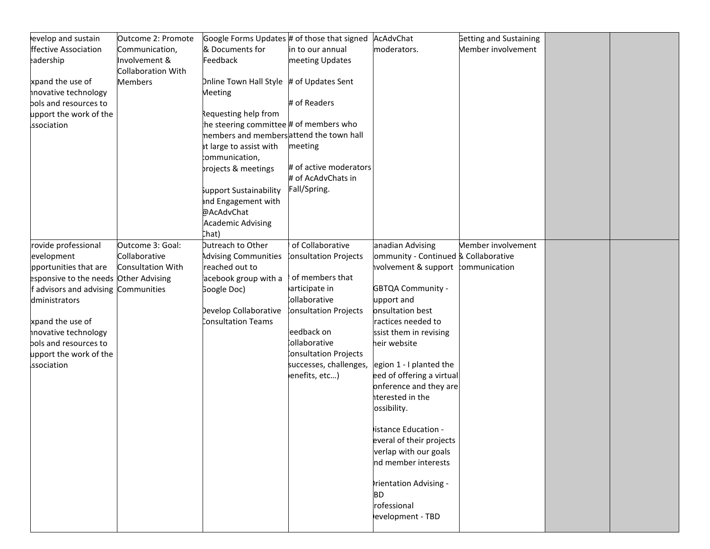| evelop and sustain                    | Outcome 2: Promote | Google Forms Updates # of those that signed |                              | AcAdvChat                            | <b>Getting and Sustaining</b> |  |
|---------------------------------------|--------------------|---------------------------------------------|------------------------------|--------------------------------------|-------------------------------|--|
| ffective Association                  | Communication,     | & Documents for                             | in to our annual             | moderators.                          | Member involvement            |  |
| eadership                             | Involvement &      | Feedback                                    | meeting Updates              |                                      |                               |  |
|                                       | Collaboration With |                                             |                              |                                      |                               |  |
| xpand the use of                      | <b>Members</b>     | Dnline Town Hall Style # of Updates Sent    |                              |                                      |                               |  |
| novative technology                   |                    | Meeting                                     |                              |                                      |                               |  |
| bols and resources to                 |                    |                                             | # of Readers                 |                                      |                               |  |
| upport the work of the                |                    | Requesting help from                        |                              |                                      |                               |  |
| ssociation                            |                    | he steering committee # of members who      |                              |                                      |                               |  |
|                                       |                    | nembers and membersattend the town hall     |                              |                                      |                               |  |
|                                       |                    | at large to assist with                     | meeting                      |                                      |                               |  |
|                                       |                    | communication,                              |                              |                                      |                               |  |
|                                       |                    | projects & meetings                         | # of active moderators       |                                      |                               |  |
|                                       |                    |                                             | # of AcAdvChats in           |                                      |                               |  |
|                                       |                    | upport Sustainability                       | Fall/Spring.                 |                                      |                               |  |
|                                       |                    | and Engagement with                         |                              |                                      |                               |  |
|                                       |                    | @AcAdvChat                                  |                              |                                      |                               |  |
|                                       |                    | <b>Academic Advising</b>                    |                              |                                      |                               |  |
|                                       |                    | `hat)                                       |                              |                                      |                               |  |
| rovide professional                   | Outcome 3: Goal:   | Dutreach to Other                           | of Collaborative             | anadian Advising                     | Member involvement            |  |
| evelopment                            | Collaborative      | <b>Advising Communities</b>                 | onsultation Projects         | ommunity - Continued & Collaborative |                               |  |
| pportunities that are                 | Consultation With  | reached out to                              |                              | volvement & support communication    |                               |  |
| esponsive to the needs Other Advising |                    | acebook group with a                        | of members that              |                                      |                               |  |
| f advisors and advising Communities   |                    | Google Doc)                                 | articipate in                | <b>GBTQA Community -</b>             |                               |  |
| dministrators                         |                    |                                             | collaborative                | upport and                           |                               |  |
|                                       |                    | Develop Collaborative                       | <b>consultation Projects</b> | onsultation best                     |                               |  |
| xpand the use of                      |                    | Consultation Teams                          |                              | ractices needed to                   |                               |  |
| novative technology                   |                    |                                             | eedback on                   | ssist them in revising               |                               |  |
| bols and resources to                 |                    |                                             | collaborative                | heir website                         |                               |  |
| upport the work of the                |                    |                                             | onsultation Projects         |                                      |                               |  |
| ssociation                            |                    |                                             | successes, challenges,       | egion 1 - I planted the              |                               |  |
|                                       |                    |                                             | enefits, etc)                | eed of offering a virtual            |                               |  |
|                                       |                    |                                             |                              | onference and they are               |                               |  |
|                                       |                    |                                             |                              | iterested in the                     |                               |  |
|                                       |                    |                                             |                              |                                      |                               |  |
|                                       |                    |                                             |                              | ossibility.                          |                               |  |
|                                       |                    |                                             |                              | istance Education -                  |                               |  |
|                                       |                    |                                             |                              | everal of their projects             |                               |  |
|                                       |                    |                                             |                              |                                      |                               |  |
|                                       |                    |                                             |                              | verlap with our goals                |                               |  |
|                                       |                    |                                             |                              | nd member interests                  |                               |  |
|                                       |                    |                                             |                              |                                      |                               |  |
|                                       |                    |                                             |                              | rientation Advising -                |                               |  |
|                                       |                    |                                             |                              | <b>BD</b>                            |                               |  |
|                                       |                    |                                             |                              | rofessional                          |                               |  |
|                                       |                    |                                             |                              | evelopment - TBD                     |                               |  |
|                                       |                    |                                             |                              |                                      |                               |  |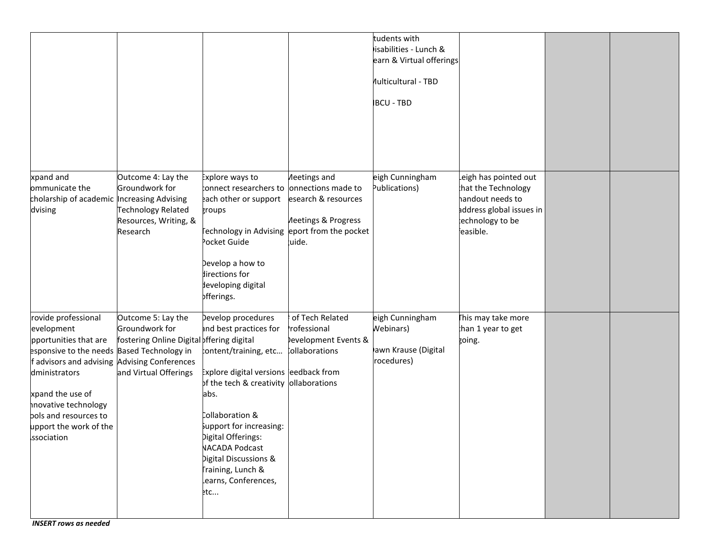|                                                                                                                                                                                                                                                                                       |                                                                                                            |                                                                                                                                                                                                                                                                                                                                            |                                                                                                         | tudents with<br>isabilities - Lunch &<br>earn & Virtual offerings<br><b>Multicultural - TBD</b><br><b>BCU - TBD</b> |                                                                                                                            |  |
|---------------------------------------------------------------------------------------------------------------------------------------------------------------------------------------------------------------------------------------------------------------------------------------|------------------------------------------------------------------------------------------------------------|--------------------------------------------------------------------------------------------------------------------------------------------------------------------------------------------------------------------------------------------------------------------------------------------------------------------------------------------|---------------------------------------------------------------------------------------------------------|---------------------------------------------------------------------------------------------------------------------|----------------------------------------------------------------------------------------------------------------------------|--|
| xpand and<br>ommunicate the<br>cholarship of academic Increasing Advising<br>dvising                                                                                                                                                                                                  | Outcome 4: Lay the<br>Groundwork for<br>Technology Related<br>Resources, Writing, &<br>Research            | Explore ways to<br>connect researchers to onnections made to<br>each other or support<br>groups<br>Fechnology in Advising<br>ocket Guide<br>bevelop a how to<br>lirections for<br>leveloping digital<br>offerings.                                                                                                                         | Aeetings and<br>esearch & resources<br><b>Meetings &amp; Progress</b><br>eport from the pocket<br>uide. | eigh Cunningham<br>Publications)                                                                                    | eigh has pointed out<br>hat the Technology:<br>handout needs to<br>address global issues in<br>echnology to be<br>easible. |  |
| rovide professional<br>evelopment<br>pportunities that are<br>esponsive to the needs Based Technology in<br>f advisors and advising Advising Conferences<br>dministrators<br>xpand the use of<br>novative technology<br>bols and resources to<br>upport the work of the<br>ssociation | Outcome 5: Lay the<br>Groundwork for<br>fostering Online Digital offering digital<br>and Virtual Offerings | Develop procedures<br>and best practices for<br>tontent/training, etc<br>Explore digital versions eedback from<br>of the tech & creativity ollaborations<br>abs.<br>Collaboration &<br>support for increasing:<br>Digital Offerings:<br><b>NACADA Podcast</b><br>Digital Discussions &<br>Fraining, Lunch &<br>learns, Conferences,<br>etc | of Tech Related<br>rofessional<br>evelopment Events &<br>collaborations                                 | eigh Cunningham<br><b>Nebinars</b> )<br>awn Krause (Digital<br>rocedures)                                           | This may take more<br>han 1 year to get<br>going.                                                                          |  |